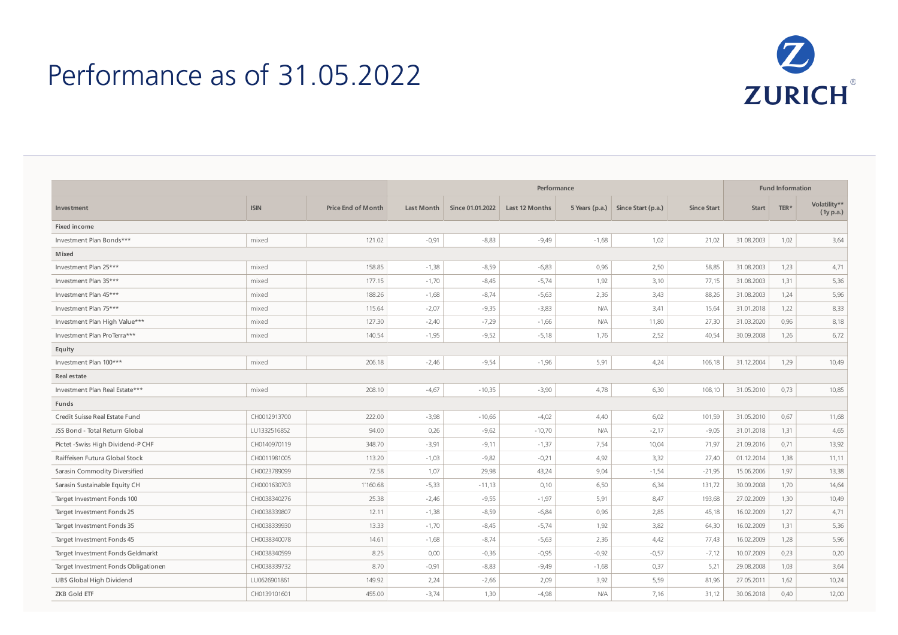## Performance as of 31.05.2022



|                                      |              |                           | Performance |                  |                |         |                                   |                    | <b>Fund Information</b> |      |                           |
|--------------------------------------|--------------|---------------------------|-------------|------------------|----------------|---------|-----------------------------------|--------------------|-------------------------|------|---------------------------|
| Investment                           | <b>ISIN</b>  | <b>Price End of Month</b> | Last Month  | Since 01.01.2022 | Last 12 Months |         | 5 Years (p.a.) Since Start (p.a.) | <b>Since Start</b> | <b>Start</b>            | TER* | Volatility**<br>(1y p.a.) |
| Fixed income                         |              |                           |             |                  |                |         |                                   |                    |                         |      |                           |
| Investment Plan Bonds***             | mixed        | 121.02                    | $-0,91$     | $-8,83$          | $-9,49$        | $-1,68$ | 1,02                              | 21,02              | 31.08.2003              | 1,02 | 3,64                      |
| <b>M</b> ixed                        |              |                           |             |                  |                |         |                                   |                    |                         |      |                           |
| Investment Plan 25***                | mixed        | 158.85                    | $-1,38$     | $-8,59$          | $-6,83$        | 0,96    | 2,50                              | 58,85              | 31.08.2003              | 1,23 | 4,71                      |
| Investment Plan 35***                | mixed        | 177.15                    | $-1,70$     | $-8,45$          | $-5,74$        | 1,92    | 3,10                              | 77,15              | 31.08.2003              | 1,31 | 5,36                      |
| Investment Plan 45***                | mixed        | 188.26                    | $-1,68$     | $-8,74$          | $-5,63$        | 2,36    | 3,43                              | 88,26              | 31.08.2003              | 1,24 | 5,96                      |
| Investment Plan 75***                | mixed        | 115.64                    | $-2,07$     | $-9,35$          | $-3,83$        | N/A     | 3,41                              | 15,64              | 31.01.2018              | 1,22 | 8,33                      |
| Investment Plan High Value***        | mixed        | 127.30                    | $-2,40$     | $-7,29$          | $-1,66$        | N/A     | 11,80                             | 27,30              | 31.03.2020              | 0,96 | 8,18                      |
| Investment Plan ProTerra***          | mixed        | 140.54                    | $-1,95$     | $-9,52$          | $-5,18$        | 1,76    | 2,52                              | 40,54              | 30.09.2008              | 1,26 | 6,72                      |
| Equity                               |              |                           |             |                  |                |         |                                   |                    |                         |      |                           |
| Investment Plan 100***               | mixed        | 206.18                    | $-2,46$     | $-9,54$          | $-1,96$        | 5,91    | 4,24                              | 106,18             | 31.12.2004              | 1,29 | 10,49                     |
| <b>Real estate</b>                   |              |                           |             |                  |                |         |                                   |                    |                         |      |                           |
| Investment Plan Real Estate***       | mixed        | 208.10                    | $-4,67$     | $-10,35$         | $-3,90$        | 4,78    | 6,30                              | 108,10             | 31.05.2010              | 0,73 | 10,85                     |
| Funds                                |              |                           |             |                  |                |         |                                   |                    |                         |      |                           |
| Credit Suisse Real Estate Fund       | CH0012913700 | 222.00                    | $-3,98$     | $-10,66$         | $-4,02$        | 4,40    | 6,02                              | 101,59             | 31.05.2010              | 0,67 | 11,68                     |
| JSS Bond - Total Return Global       | LU1332516852 | 94.00                     | 0,26        | $-9,62$          | $-10,70$       | N/A     | $-2,17$                           | $-9,05$            | 31.01.2018              | 1,31 | 4,65                      |
| Pictet - Swiss High Dividend-P CHF   | CH0140970119 | 348.70                    | $-3,91$     | $-9,11$          | $-1,37$        | 7,54    | 10,04                             | 71,97              | 21.09.2016              | 0,71 | 13,92                     |
| Raiffeisen Futura Global Stock       | CH0011981005 | 113.20                    | $-1,03$     | $-9,82$          | $-0,21$        | 4,92    | 3,32                              | 27,40              | 01.12.2014              | 1,38 | 11,11                     |
| Sarasin Commodity Diversified        | CH0023789099 | 72.58                     | 1,07        | 29,98            | 43,24          | 9,04    | $-1,54$                           | $-21,95$           | 15.06.2006              | 1,97 | 13,38                     |
| Sarasin Sustainable Equity CH        | CH0001630703 | 1'160.68                  | $-5,33$     | $-11,13$         | 0,10           | 6,50    | 6,34                              | 131,72             | 30.09.2008              | 1,70 | 14,64                     |
| Target Investment Fonds 100          | CH0038340276 | 25.38                     | $-2,46$     | $-9,55$          | $-1,97$        | 5,91    | 8,47                              | 193,68             | 27.02.2009              | 1,30 | 10,49                     |
| Target Investment Fonds 25           | CH0038339807 | 12.11                     | $-1,38$     | $-8,59$          | $-6,84$        | 0,96    | 2,85                              | 45,18              | 16.02.2009              | 1,27 | 4,71                      |
| Target Investment Fonds 35           | CH0038339930 | 13.33                     | $-1,70$     | $-8,45$          | $-5,74$        | 1,92    | 3,82                              | 64,30              | 16.02.2009              | 1,31 | 5,36                      |
| Target Investment Fonds 45           | CH0038340078 | 14.61                     | $-1,68$     | $-8,74$          | $-5,63$        | 2,36    | 4,42                              | 77,43              | 16.02.2009              | 1,28 | 5,96                      |
| Target Investment Fonds Geldmarkt    | CH0038340599 | 8.25                      | 0,00        | $-0,36$          | $-0,95$        | $-0,92$ | $-0,57$                           | $-7,12$            | 10.07.2009              | 0,23 | 0,20                      |
| Target Investment Fonds Obligationen | CH0038339732 | 8.70                      | $-0,91$     | $-8,83$          | $-9,49$        | $-1,68$ | 0,37                              | 5,21               | 29.08.2008              | 1,03 | 3,64                      |
| UBS Global High Dividend             | LU0626901861 | 149.92                    | 2,24        | $-2,66$          | 2,09           | 3,92    | 5,59                              | 81,96              | 27.05.2011              | 1,62 | 10,24                     |
| <b>ZKB Gold ETF</b>                  | CH0139101601 | 455.00                    | $-3,74$     | 1,30             | $-4,98$        | N/A     | 7,16                              | 31,12              | 30.06.2018              | 0.40 | 12,00                     |